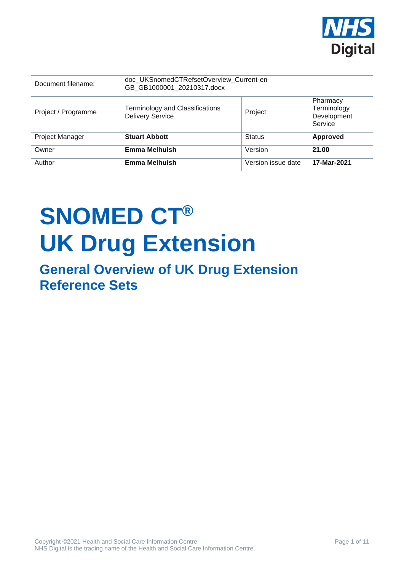

| Document filename:     | doc_UKSnomedCTRefsetOverview_Current-en-<br>GB GB1000001 20210317.docx |                    |                                                   |
|------------------------|------------------------------------------------------------------------|--------------------|---------------------------------------------------|
| Project / Programme    | <b>Terminology and Classifications</b><br><b>Delivery Service</b>      | Project            | Pharmacy<br>Terminology<br>Development<br>Service |
| <b>Project Manager</b> | <b>Stuart Abbott</b>                                                   | <b>Status</b>      | <b>Approved</b>                                   |
| Owner                  | <b>Emma Melhuish</b>                                                   | Version            | 21.00                                             |
| Author                 | <b>Emma Melhuish</b>                                                   | Version issue date | 17-Mar-2021                                       |

# **SNOMED CT® UK Drug Extension**

**General Overview of UK Drug Extension Reference Sets**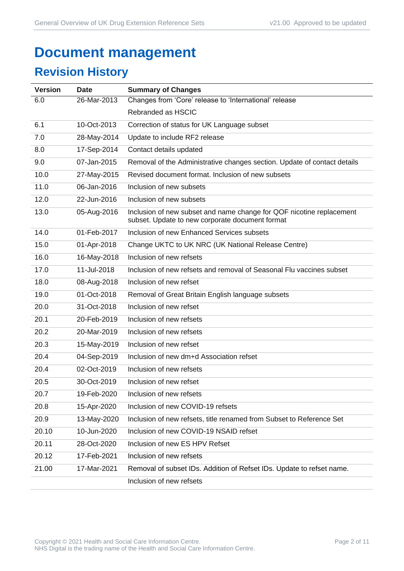# **Document management**

## **Revision History**

| <b>Version</b> | <b>Date</b> | <b>Summary of Changes</b>                                                                                               |
|----------------|-------------|-------------------------------------------------------------------------------------------------------------------------|
| 6.0            | 26-Mar-2013 | Changes from 'Core' release to 'International' release                                                                  |
|                |             | Rebranded as HSCIC                                                                                                      |
| 6.1            | 10-Oct-2013 | Correction of status for UK Language subset                                                                             |
| 7.0            | 28-May-2014 | Update to include RF2 release                                                                                           |
| 8.0            | 17-Sep-2014 | Contact details updated                                                                                                 |
| 9.0            | 07-Jan-2015 | Removal of the Administrative changes section. Update of contact details                                                |
| 10.0           | 27-May-2015 | Revised document format. Inclusion of new subsets                                                                       |
| 11.0           | 06-Jan-2016 | Inclusion of new subsets                                                                                                |
| 12.0           | 22-Jun-2016 | Inclusion of new subsets                                                                                                |
| 13.0           | 05-Aug-2016 | Inclusion of new subset and name change for QOF nicotine replacement<br>subset. Update to new corporate document format |
| 14.0           | 01-Feb-2017 | Inclusion of new Enhanced Services subsets                                                                              |
| 15.0           | 01-Apr-2018 | Change UKTC to UK NRC (UK National Release Centre)                                                                      |
| 16.0           | 16-May-2018 | Inclusion of new refsets                                                                                                |
| 17.0           | 11-Jul-2018 | Inclusion of new refsets and removal of Seasonal Flu vaccines subset                                                    |
| 18.0           | 08-Aug-2018 | Inclusion of new refset                                                                                                 |
| 19.0           | 01-Oct-2018 | Removal of Great Britain English language subsets                                                                       |
| 20.0           | 31-Oct-2018 | Inclusion of new refset                                                                                                 |
| 20.1           | 20-Feb-2019 | Inclusion of new refsets                                                                                                |
| 20.2           | 20-Mar-2019 | Inclusion of new refsets                                                                                                |
| 20.3           | 15-May-2019 | Inclusion of new refset                                                                                                 |
| 20.4           | 04-Sep-2019 | Inclusion of new dm+d Association refset                                                                                |
| 20.4           | 02-Oct-2019 | Inclusion of new refsets                                                                                                |
| 20.5           | 30-Oct-2019 | Inclusion of new refset                                                                                                 |
| 20.7           | 19-Feb-2020 | Inclusion of new refsets                                                                                                |
| 20.8           | 15-Apr-2020 | Inclusion of new COVID-19 refsets                                                                                       |
| 20.9           | 13-May-2020 | Inclusion of new refsets, title renamed from Subset to Reference Set                                                    |
| 20.10          | 10-Jun-2020 | Inclusion of new COVID-19 NSAID refset                                                                                  |
| 20.11          | 28-Oct-2020 | Inclusion of new ES HPV Refset                                                                                          |
| 20.12          | 17-Feb-2021 | Inclusion of new refsets                                                                                                |
| 21.00          | 17-Mar-2021 | Removal of subset IDs. Addition of Refset IDs. Update to refset name.                                                   |
|                |             | Inclusion of new refsets                                                                                                |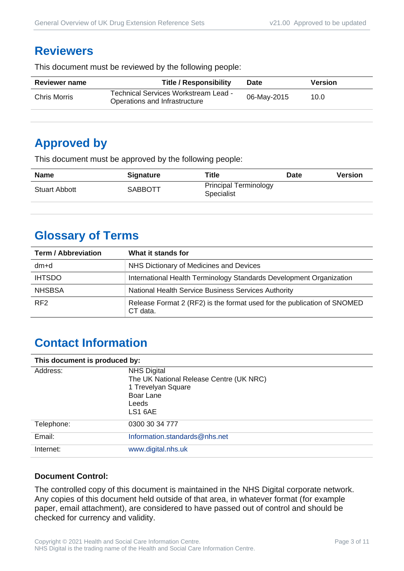#### **Reviewers**

This document must be reviewed by the following people:

| <b>Reviewer name</b> | <b>Title / Responsibility</b>                                         | <b>Date</b> | <b>Version</b> |
|----------------------|-----------------------------------------------------------------------|-------------|----------------|
| Chris Morris         | Technical Services Workstream Lead -<br>Operations and Infrastructure | 06-May-2015 | 10.0           |
|                      |                                                                       |             |                |

## **Approved by**

This document must be approved by the following people:

| <b>Name</b>          | <b>Signature</b> | Title                                             | <b>Date</b> | <b>Version</b> |
|----------------------|------------------|---------------------------------------------------|-------------|----------------|
| <b>Stuart Abbott</b> | <b>SABBOTT</b>   | <b>Principal Terminology</b><br><b>Specialist</b> |             |                |

## **Glossary of Terms**

| <b>Term / Abbreviation</b> | What it stands for                                                                  |
|----------------------------|-------------------------------------------------------------------------------------|
| dm+d                       | NHS Dictionary of Medicines and Devices                                             |
| <b>IHTSDO</b>              | International Health Terminology Standards Development Organization                 |
| <b>NHSBSA</b>              | National Health Service Business Services Authority                                 |
| RF <sub>2</sub>            | Release Format 2 (RF2) is the format used for the publication of SNOMED<br>CT data. |

## **Contact Information**

| This document is produced by: |                                                                                                                      |  |
|-------------------------------|----------------------------------------------------------------------------------------------------------------------|--|
| Address:                      | <b>NHS Digital</b><br>The UK National Release Centre (UK NRC)<br>1 Trevelyan Square<br>Boar Lane<br>Leeds<br>LS1 6AE |  |
| Telephone:                    | 0300 30 34 777                                                                                                       |  |
| Email:                        | Information.standards@nhs.net                                                                                        |  |
| Internet:                     | www.digital.nhs.uk                                                                                                   |  |

#### **Document Control:**

The controlled copy of this document is maintained in the NHS Digital corporate network. Any copies of this document held outside of that area, in whatever format (for example paper, email attachment), are considered to have passed out of control and should be checked for currency and validity.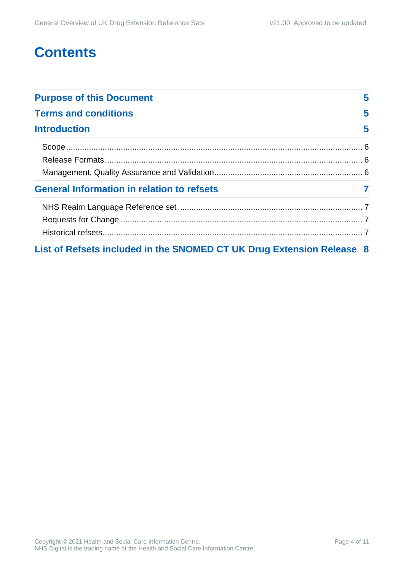## **Contents**

| <b>Purpose of this Document</b>                                       | 5 |
|-----------------------------------------------------------------------|---|
| <b>Terms and conditions</b>                                           | 5 |
| <b>Introduction</b>                                                   | 5 |
|                                                                       |   |
|                                                                       |   |
|                                                                       |   |
| <b>General Information in relation to refsets</b>                     |   |
|                                                                       |   |
|                                                                       |   |
|                                                                       |   |
| List of Refsets included in the SNOMED CT UK Drug Extension Release 8 |   |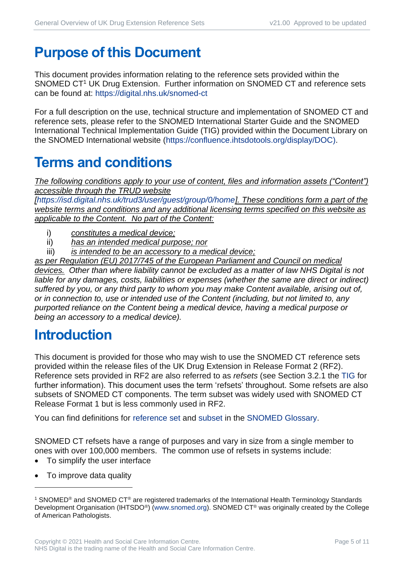# <span id="page-4-0"></span>**Purpose of this Document**

This document provides information relating to the reference sets provided within the SNOMED CT<sup>1</sup> UK Drug Extension. Further information on SNOMED CT and reference sets can be found at:<https://digital.nhs.uk/snomed-ct>

For a full description on the use, technical structure and implementation of SNOMED CT and reference sets, please refer to the SNOMED International Starter Guide and the SNOMED International Technical Implementation Guide (TIG) provided within the Document Library on the SNOMED International website [\(https://confluence.ihtsdotools.org/display/DOC\)](https://confluence.ihtsdotools.org/display/DOC).

# <span id="page-4-1"></span>**Terms and conditions**

*The following conditions apply to your use of content, files and information assets ("Content") accessible through the TRUD website* 

*[\[https://isd.digital.nhs.uk/trud3/user/guest/group/0/home\]](https://isd.digital.nhs.uk/trud3/user/guest/group/0/home). These conditions form a part of the website terms and conditions and any additional licensing terms specified on this website as applicable to the Content. No part of the Content:*

- i) *constitutes a medical device;*
- ii) *has an intended medical purpose; nor*
- iii) *is intended to be an accessory to a medical device;*

*as per Regulation (EU) 2017/745 of the European Parliament and Council on medical devices. Other than where liability cannot be excluded as a matter of law NHS Digital is not*  liable for any damages, costs, liabilities or expenses (whether the same are direct or *indirect*) *suffered by you, or any third party to whom you may make Content available, arising out of, or in connection to, use or intended use of the Content (including, but not limited to, any purported reliance on the Content being a medical device, having a medical purpose or being an accessory to a medical device).*

# <span id="page-4-2"></span>**Introduction**

This document is provided for those who may wish to use the SNOMED CT reference sets provided within the release files of the UK Drug Extension in Release Format 2 (RF2). Reference sets provided in RF2 are also referred to as *refsets* (see Section 3.2.1 the [TIG](http://snomed.org/tig) for further information). This document uses the term 'refsets' throughout. Some refsets are also subsets of SNOMED CT components. The term subset was widely used with SNOMED CT Release Format 1 but is less commonly used in RF2.

You can find definitions for [reference set](https://confluence.ihtsdotools.org/display/DOCGLOSS/reference+set) and [subset](https://confluence.ihtsdotools.org/display/DOCGLOSS/subset) in the [SNOMED Glossary.](http://snomed.org/gl)

SNOMED CT refsets have a range of purposes and vary in size from a single member to ones with over 100,000 members. The common use of refsets in systems include:

- To simplify the user interface
- To improve data quality

<sup>1</sup> SNOMED® and SNOMED CT® are registered trademarks of the International Health Terminology Standards Development Organisation (IHTSDO<sup>®</sup>) [\(www.snomed.org\)](http://www.snomed.org/). SNOMED CT<sup>®</sup> was originally created by the College of American Pathologists.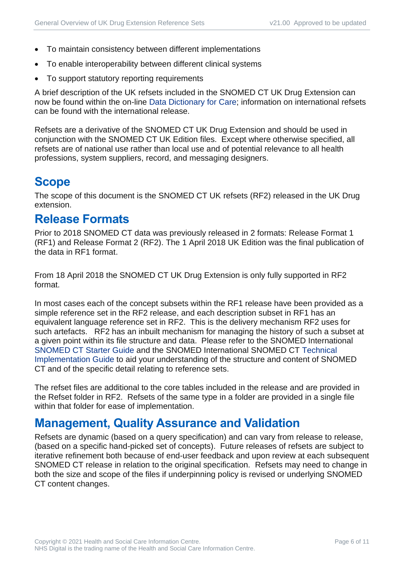- To maintain consistency between different implementations
- To enable interoperability between different clinical systems
- To support statutory reporting requirements

A brief description of the UK refsets included in the SNOMED CT UK Drug Extension can now be found within the on-line [Data Dictionary for Care;](https://dd4c.digital.nhs.uk/dd4c/) information on international refsets can be found with the international release.

Refsets are a derivative of the SNOMED CT UK Drug Extension and should be used in conjunction with the SNOMED CT UK Edition files. Except where otherwise specified, all refsets are of national use rather than local use and of potential relevance to all health professions, system suppliers, record, and messaging designers.

### <span id="page-5-0"></span>**Scope**

The scope of this document is the SNOMED CT UK refsets (RF2) released in the UK Drug extension.

#### <span id="page-5-1"></span>**Release Formats**

Prior to 2018 SNOMED CT data was previously released in 2 formats: Release Format 1 (RF1) and Release Format 2 (RF2). The 1 April 2018 UK Edition was the final publication of the data in RF1 format.

From 18 April 2018 the SNOMED CT UK Drug Extension is only fully supported in RF2 format.

In most cases each of the concept subsets within the RF1 release have been provided as a simple reference set in the RF2 release, and each description subset in RF1 has an equivalent language reference set in RF2. This is the delivery mechanism RF2 uses for such artefacts. RF2 has an inbuilt mechanism for managing the history of such a subset at a given point within its file structure and data. Please refer to the SNOMED International [SNOMED CT Starter Guide](http://snomed.org/starter) and the SNOMED International SNOMED CT [Technical](http://snomed.org/tig)  [Implementation Guide](http://snomed.org/tig) to aid your understanding of the structure and content of SNOMED CT and of the specific detail relating to reference sets.

The refset files are additional to the core tables included in the release and are provided in the Refset folder in RF2. Refsets of the same type in a folder are provided in a single file within that folder for ease of implementation.

#### <span id="page-5-2"></span>**Management, Quality Assurance and Validation**

Refsets are dynamic (based on a query specification) and can vary from release to release, (based on a specific hand-picked set of concepts). Future releases of refsets are subject to iterative refinement both because of end-user feedback and upon review at each subsequent SNOMED CT release in relation to the original specification. Refsets may need to change in both the size and scope of the files if underpinning policy is revised or underlying SNOMED CT content changes.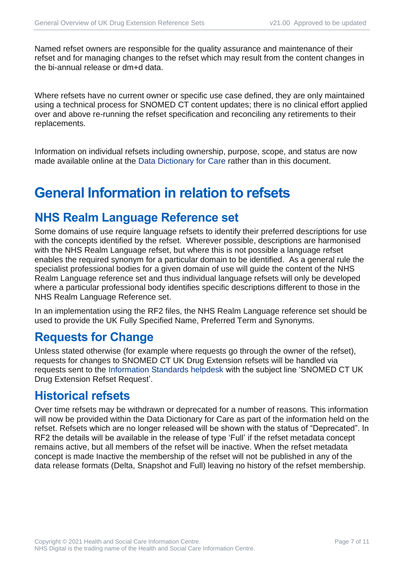Named refset owners are responsible for the quality assurance and maintenance of their refset and for managing changes to the refset which may result from the content changes in the bi-annual release or dm+d data.

Where refsets have no current owner or specific use case defined, they are only maintained using a technical process for SNOMED CT content updates; there is no clinical effort applied over and above re-running the refset specification and reconciling any retirements to their replacements.

Information on individual refsets including ownership, purpose, scope, and status are now made available online at the [Data Dictionary for Care](https://dd4c.digital.nhs.uk/dd4c/) rather than in this document.

# <span id="page-6-0"></span>**General Information in relation to refsets**

#### <span id="page-6-1"></span>**NHS Realm Language Reference set**

Some domains of use require language refsets to identify their preferred descriptions for use with the concepts identified by the refset. Wherever possible, descriptions are harmonised with the NHS Realm Language refset, but where this is not possible a language refset enables the required synonym for a particular domain to be identified. As a general rule the specialist professional bodies for a given domain of use will guide the content of the NHS Realm Language reference set and thus individual language refsets will only be developed where a particular professional body identifies specific descriptions different to those in the NHS Realm Language Reference set.

In an implementation using the RF2 files, the NHS Realm Language reference set should be used to provide the UK Fully Specified Name, Preferred Term and Synonyms.

#### <span id="page-6-2"></span>**Requests for Change**

Unless stated otherwise (for example where requests go through the owner of the refset), requests for changes to SNOMED CT UK Drug Extension refsets will be handled via requests sent to the [Information Standards helpdesk](mailto:information.standards@nhs.net?subject=SNOMED%20CT%20UK%20Drug%20Extension%20Refset%20Request) with the subject line 'SNOMED CT UK Drug Extension Refset Request'.

#### <span id="page-6-3"></span>**Historical refsets**

Over time refsets may be withdrawn or deprecated for a number of reasons. This information will now be provided within the Data Dictionary for Care as part of the information held on the refset. Refsets which are no longer released will be shown with the status of "Deprecated". In RF2 the details will be available in the release of type 'Full' if the refset metadata concept remains active, but all members of the refset will be inactive. When the refset metadata concept is made Inactive the membership of the refset will not be published in any of the data release formats (Delta, Snapshot and Full) leaving no history of the refset membership.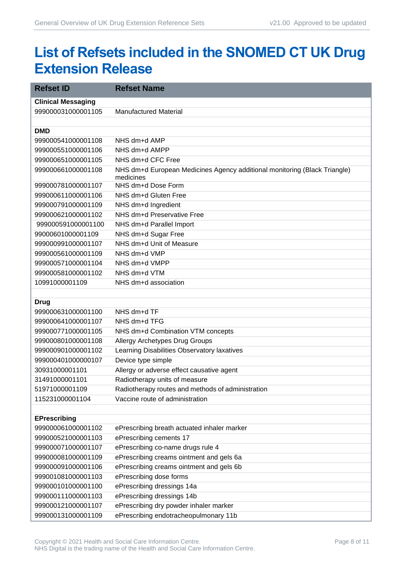# <span id="page-7-0"></span>**List of Refsets included in the SNOMED CT UK Drug Extension Release**

| <b>Refset ID</b>          | <b>Refset Name</b>                                                        |
|---------------------------|---------------------------------------------------------------------------|
| <b>Clinical Messaging</b> |                                                                           |
| 999000031000001105        | <b>Manufactured Material</b>                                              |
|                           |                                                                           |
| <b>DMD</b>                |                                                                           |
| 999000541000001108        | NHS dm+d AMP                                                              |
| 999000551000001106        | NHS dm+d AMPP                                                             |
| 999000651000001105        | NHS dm+d CFC Free                                                         |
| 999000661000001108        | NHS dm+d European Medicines Agency additional monitoring (Black Triangle) |
|                           | medicines<br>NHS dm+d Dose Form                                           |
| 999000781000001107        |                                                                           |
| 999000611000001106        | NHS dm+d Gluten Free                                                      |
| 999000791000001109        | NHS dm+d Ingredient<br>NHS dm+d Preservative Free                         |
| 999000621000001102        |                                                                           |
| 999000591000001100        | NHS dm+d Parallel Import                                                  |
| 99000601000001109         | NHS dm+d Sugar Free<br>NHS dm+d Unit of Measure                           |
| 999000991000001107        |                                                                           |
| 999000561000001109        | NHS dm+d VMP                                                              |
| 999000571000001104        | NHS dm+d VMPP                                                             |
| 999000581000001102        | NHS dm+d VTM                                                              |
| 10991000001109            | NHS dm+d association                                                      |
| <b>Drug</b>               |                                                                           |
| 999000631000001100        | NHS dm+d TF                                                               |
| 999000641000001107        | NHS dm+d TFG                                                              |
| 999000771000001105        | NHS dm+d Combination VTM concepts                                         |
| 999000801000001108        | Allergy Archetypes Drug Groups                                            |
| 999000901000001102        | Learning Disabilities Observatory laxatives                               |
| 999000401000000107        | Device type simple                                                        |
| 30931000001101            | Allergy or adverse effect causative agent                                 |
| 31491000001101            | Radiotherapy units of measure                                             |
| 51971000001109            | Radiotherapy routes and methods of administration                         |
| 115231000001104           | Vaccine route of administration                                           |
|                           |                                                                           |
| <b>EPrescribing</b>       |                                                                           |
| 999000061000001102        | ePrescribing breath actuated inhaler marker                               |
| 999000521000001103        | ePrescribing cements 17                                                   |
| 999000071000001107        | ePrescribing co-name drugs rule 4                                         |
| 999000081000001109        | ePrescribing creams ointment and gels 6a                                  |
| 999000091000001106        | ePrescribing creams ointment and gels 6b                                  |
| 999001081000001103        | ePrescribing dose forms                                                   |
| 999000101000001100        | ePrescribing dressings 14a                                                |
| 999000111000001103        | ePrescribing dressings 14b                                                |
| 999000121000001107        | ePrescribing dry powder inhaler marker                                    |
| 999000131000001109        | ePrescribing endotracheopulmonary 11b                                     |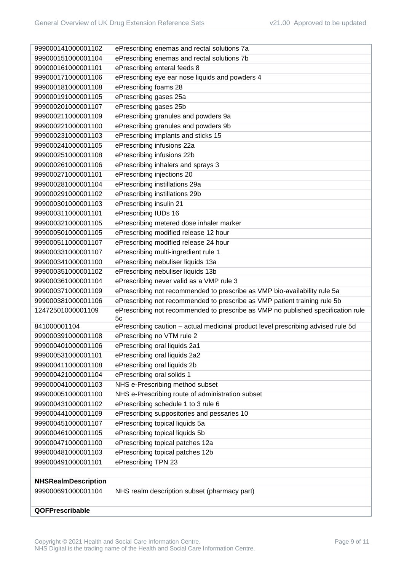| 999000141000001102         | ePrescribing enemas and rectal solutions 7a                                            |
|----------------------------|----------------------------------------------------------------------------------------|
| 999000151000001104         | ePrescribing enemas and rectal solutions 7b                                            |
| 999000161000001101         | ePrescribing enteral feeds 8                                                           |
| 999000171000001106         | ePrescribing eye ear nose liquids and powders 4                                        |
| 999000181000001108         | ePrescribing foams 28                                                                  |
| 999000191000001105         | ePrescribing gases 25a                                                                 |
| 999000201000001107         | ePrescribing gases 25b                                                                 |
| 999000211000001109         | ePrescribing granules and powders 9a                                                   |
| 999000221000001100         | ePrescribing granules and powders 9b                                                   |
| 999000231000001103         | ePrescribing implants and sticks 15                                                    |
| 999000241000001105         | ePrescribing infusions 22a                                                             |
| 999000251000001108         | ePrescribing infusions 22b                                                             |
| 999000261000001106         | ePrescribing inhalers and sprays 3                                                     |
| 999000271000001101         | ePrescribing injections 20                                                             |
| 999000281000001104         | ePrescribing instillations 29a                                                         |
| 999000291000001102         | ePrescribing instillations 29b                                                         |
| 999000301000001103         | ePrescribing insulin 21                                                                |
| 999000311000001101         | ePrescribing IUDs 16                                                                   |
| 999000321000001105         | ePrescribing metered dose inhaler marker                                               |
| 999000501000001105         | ePrescribing modified release 12 hour                                                  |
| 999000511000001107         | ePrescribing modified release 24 hour                                                  |
| 999000331000001107         | ePrescribing multi-ingredient rule 1                                                   |
| 999000341000001100         | ePrescribing nebuliser liquids 13a                                                     |
| 999000351000001102         | ePrescribing nebuliser liquids 13b                                                     |
| 999000361000001104         | ePrescribing never valid as a VMP rule 3                                               |
| 999000371000001109         | ePrescribing not recommended to prescribe as VMP bio-availability rule 5a              |
| 999000381000001106         | ePrescribing not recommended to prescribe as VMP patient training rule 5b              |
| 12472501000001109          | ePrescribing not recommended to prescribe as VMP no published specification rule<br>5c |
| 841000001104               | ePrescribing caution - actual medicinal product level prescribing advised rule 5d      |
| 999000391000001108         | ePrescribing no VTM rule 2                                                             |
| 999000401000001106         | ePrescribing oral liquids 2a1                                                          |
| 999000531000001101         | ePrescribing oral liquids 2a2                                                          |
| 999000411000001108         | ePrescribing oral liquids 2b                                                           |
| 999000421000001104         | ePrescribing oral solids 1                                                             |
| 999000041000001103         | NHS e-Prescribing method subset                                                        |
| 999000051000001100         | NHS e-Prescribing route of administration subset                                       |
| 999000431000001102         | ePrescribing schedule 1 to 3 rule 6                                                    |
| 999000441000001109         | ePrescribing suppositories and pessaries 10                                            |
| 999000451000001107         | ePrescribing topical liquids 5a                                                        |
| 999000461000001105         | ePrescribing topical liquids 5b                                                        |
| 999000471000001100         | ePrescribing topical patches 12a                                                       |
| 999000481000001103         | ePrescribing topical patches 12b                                                       |
| 999000491000001101         | ePrescribing TPN 23                                                                    |
|                            |                                                                                        |
| <b>NHSRealmDescription</b> |                                                                                        |
| 999000691000001104         | NHS realm description subset (pharmacy part)                                           |
|                            |                                                                                        |
| QOFPrescribable            |                                                                                        |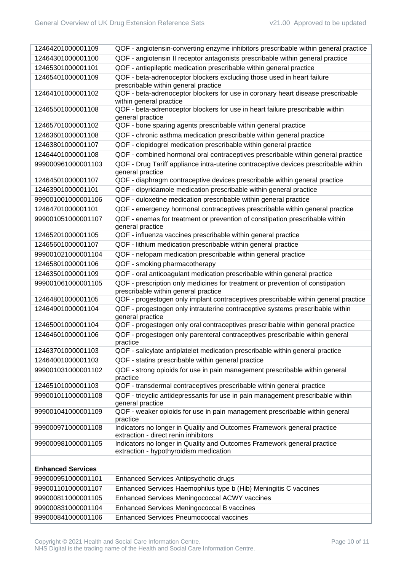| 12464201000001109        | QOF - angiotensin-converting enzyme inhibitors prescribable within general practice                                   |
|--------------------------|-----------------------------------------------------------------------------------------------------------------------|
| 12464301000001100        | QOF - angiotensin II receptor antagonists prescribable within general practice                                        |
| 12465301000001101        | QOF - antiepileptic medication prescribable within general practice                                                   |
| 12465401000001109        | QOF - beta-adrenoceptor blockers excluding those used in heart failure                                                |
|                          | prescribable within general practice                                                                                  |
| 12464101000001102        | QOF - beta-adrenoceptor blockers for use in coronary heart disease prescribable<br>within general practice            |
| 12465501000001108        | QOF - beta-adrenoceptor blockers for use in heart failure prescribable within<br>general practice                     |
| 12465701000001102        | QOF - bone sparing agents prescribable within general practice                                                        |
| 12463601000001108        | QOF - chronic asthma medication prescribable within general practice                                                  |
| 12463801000001107        | QOF - clopidogrel medication prescribable within general practice                                                     |
| 12464401000001108        | QOF - combined hormonal oral contraceptives prescribable within general practice                                      |
| 999000961000001103       | QOF - Drug Tariff appliance intra-uterine contraceptive devices prescribable within<br>general practice               |
| 12464501000001107        | QOF - diaphragm contraceptive devices prescribable within general practice                                            |
| 12463901000001101        | QOF - dipyridamole medication prescribable within general practice                                                    |
| 999001001000001106       | QOF - duloxetine medication prescribable within general practice                                                      |
| 12464701000001101        | QOF - emergency hormonal contraceptives prescribable within general practice                                          |
| 999001051000001107       | QOF - enemas for treatment or prevention of constipation prescribable within<br>general practice                      |
| 12465201000001105        | QOF - influenza vaccines prescribable within general practice                                                         |
| 12465601000001107        | QOF - lithium medication prescribable within general practice                                                         |
| 999001021000001104       | QOF - nefopam medication prescribable within general practice                                                         |
| 12465801000001106        | QOF - smoking pharmacotherapy                                                                                         |
| 12463501000001109        | QOF - oral anticoagulant medication prescribable within general practice                                              |
| 999001061000001105       | QOF - prescription only medicines for treatment or prevention of constipation<br>prescribable within general practice |
| 12464801000001105        | QOF - progestogen only implant contraceptives prescribable within general practice                                    |
| 12464901000001104        | QOF - progestogen only intrauterine contraceptive systems prescribable within<br>general practice                     |
| 12465001000001104        | QOF - progestogen only oral contraceptives prescribable within general practice                                       |
| 12464601000001106        | QOF - progestogen only parenteral contraceptives prescribable within general<br>practice                              |
| 12463701000001103        | QOF - salicylate antiplatelet medication prescribable within general practice                                         |
| 12464001000001103        | QOF - statins prescribable within general practice                                                                    |
| 999001031000001102       | QOF - strong opioids for use in pain management prescribable within general<br>practice                               |
| 12465101000001103        | QOF - transdermal contraceptives prescribable within general practice                                                 |
| 999001011000001108       | QOF - tricyclic antidepressants for use in pain management prescribable within<br>general practice                    |
| 999001041000001109       | QOF - weaker opioids for use in pain management prescribable within general<br>practice                               |
| 999000971000001108       | Indicators no longer in Quality and Outcomes Framework general practice<br>extraction - direct renin inhibitors       |
| 999000981000001105       | Indicators no longer in Quality and Outcomes Framework general practice<br>extraction - hypothyroidism medication     |
|                          |                                                                                                                       |
| <b>Enhanced Services</b> |                                                                                                                       |
| 999000951000001101       | Enhanced Services Antipsychotic drugs                                                                                 |
| 999001101000001107       | Enhanced Services Haemophilus type b (Hib) Meningitis C vaccines                                                      |
| 999000811000001105       | Enhanced Services Meningococcal ACWY vaccines                                                                         |
| 999000831000001104       | Enhanced Services Meningococcal B vaccines                                                                            |
| 999000841000001106       | <b>Enhanced Services Pneumococcal vaccines</b>                                                                        |